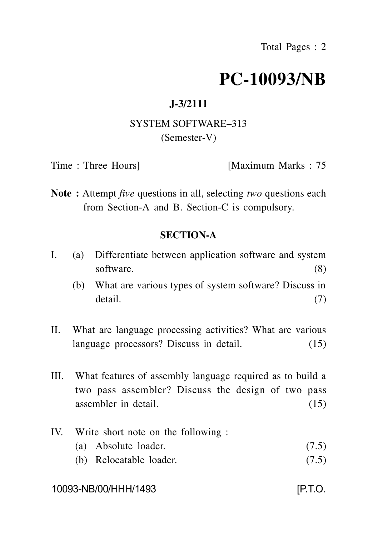# **PC-10093/NB**

# **J-3/2111**

## SYSTEM SOFTWARE–313 (Semester-V)

Time : Three Hours] [Maximum Marks : 75

**Note :** Attempt *five* questions in all, selecting *two* questions each from Section-A and B. Section-C is compulsory.

## **SECTION-A**

- I. (a) Differentiate between application software and system software. (8)
	- (b) What are various types of system software? Discuss in detail. (7)
- II. What are language processing activities? What are various language processors? Discuss in detail. (15)
- III. What features of assembly language required as to build a two pass assembler? Discuss the design of two pass assembler in detail. (15)
- IV. Write short note on the following :
	- (a) Absolute loader. (7.5)
	- (b) Relocatable loader. (7.5)

### 10093-NB/00/HHH/1493 [P.T.O.